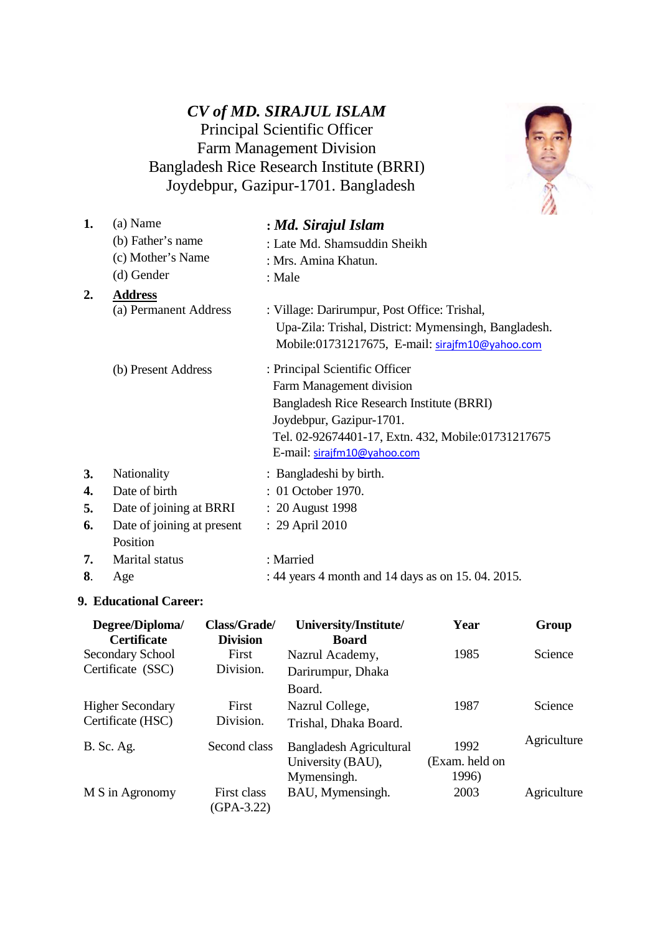# *CV of MD. SIRAJUL ISLAM*  Principal Scientific Officer Farm Management Division Bangladesh Rice Research Institute (BRRI) Joydebpur, Gazipur-1701. Bangladesh



| 1. | (a) Name                   | : Md. Sirajul Islam                                  |
|----|----------------------------|------------------------------------------------------|
|    | (b) Father's name          | : Late Md. Shamsuddin Sheikh                         |
|    | (c) Mother's Name          | : Mrs. Amina Khatun.                                 |
|    | (d) Gender                 | : Male                                               |
| 2. | <b>Address</b>             |                                                      |
|    | (a) Permanent Address      | : Village: Darirumpur, Post Office: Trishal,         |
|    |                            | Upa-Zila: Trishal, District: Mymensingh, Bangladesh. |
|    |                            | Mobile:01731217675, E-mail: sirajfm10@yahoo.com      |
|    | (b) Present Address        | : Principal Scientific Officer                       |
|    |                            | Farm Management division                             |
|    |                            | Bangladesh Rice Research Institute (BRRI)            |
|    |                            | Joydebpur, Gazipur-1701.                             |
|    |                            | Tel. 02-92674401-17, Extn. 432, Mobile:01731217675   |
|    |                            | E-mail: sirajfm10@yahoo.com                          |
| 3. | Nationality                | : Bangladeshi by birth.                              |
| 4. | Date of birth              | : 01 October 1970.                                   |
| 5. | Date of joining at BRRI    | : 20 August 1998                                     |
| 6. | Date of joining at present | : 29 April 2010                                      |
|    | Position                   |                                                      |
| 7. | Marital status             | : Married                                            |
| 8. | Age                        | : 44 years 4 month and 14 days as on 15, 04, 2015.   |

### **9. Educational Career:**

| Degree/Diploma/<br><b>Certificate</b> | Class/Grade/<br><b>Division</b> | University/Institute/<br><b>Board</b> | Year           | Group       |
|---------------------------------------|---------------------------------|---------------------------------------|----------------|-------------|
| Secondary School                      | First                           | Nazrul Academy,                       | 1985           | Science     |
| Certificate (SSC)                     | Division.                       | Darirumpur, Dhaka                     |                |             |
|                                       |                                 | Board.                                |                |             |
| <b>Higher Secondary</b>               | First                           | Nazrul College,                       | 1987           | Science     |
| Certificate (HSC)                     | Division.                       | Trishal, Dhaka Board.                 |                |             |
| <b>B.</b> Sc. Ag.                     | Second class                    | Bangladesh Agricultural               | 1992           | Agriculture |
|                                       |                                 | University (BAU),                     | (Exam. held on |             |
|                                       |                                 | Mymensingh.                           | 1996)          |             |
| M S in Agronomy                       | First class                     | BAU, Mymensingh.                      | 2003           | Agriculture |
|                                       | $(GPA-3.22)$                    |                                       |                |             |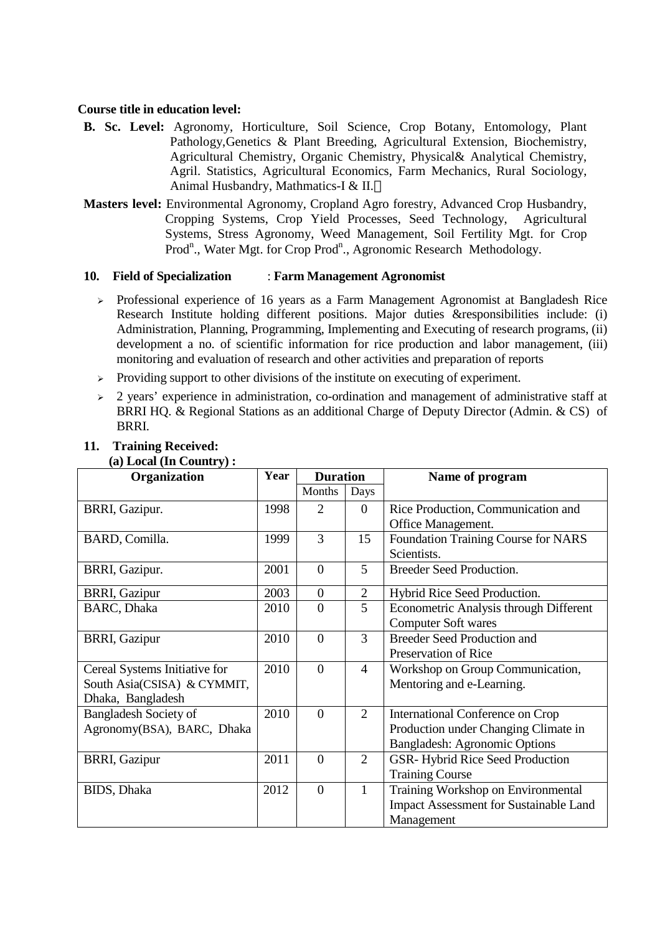### **Course title in education level:**

- **B. Sc. Level:** Agronomy, Horticulture, Soil Science, Crop Botany, Entomology, Plant Pathology,Genetics & Plant Breeding, Agricultural Extension, Biochemistry, Agricultural Chemistry, Organic Chemistry, Physical& Analytical Chemistry, Agril. Statistics, Agricultural Economics, Farm Mechanics, Rural Sociology, Animal Husbandry, Mathmatics-I & II.
- **Masters level:** Environmental Agronomy, Cropland Agro forestry, Advanced Crop Husbandry, Cropping Systems, Crop Yield Processes, Seed Technology, Agricultural Systems, Stress Agronomy, Weed Management, Soil Fertility Mgt. for Crop Prod<sup>n</sup>., Water Mgt. for Crop Prod<sup>n</sup>., Agronomic Research Methodology.

#### **10. Field of Specialization** : **Farm Management Agronomist**

- $\geq$  Professional experience of 16 years as a Farm Management Agronomist at Bangladesh Rice Research Institute holding different positions. Major duties &responsibilities include: (i) Administration, Planning, Programming, Implementing and Executing of research programs, (ii) development a no. of scientific information for rice production and labor management, (iii) monitoring and evaluation of research and other activities and preparation of reports
- $\triangleright$  Providing support to other divisions of the institute on executing of experiment.
- $\geq$  2 years' experience in administration, co-ordination and management of administrative staff at BRRI HQ. & Regional Stations as an additional Charge of Deputy Director (Admin. & CS) of BRRI.

| $(u)$ Local $(u)$ Country,<br>Organization | Year | <b>Duration</b> |                | Name of program                        |
|--------------------------------------------|------|-----------------|----------------|----------------------------------------|
|                                            |      | Months          | Days           |                                        |
| BRRI, Gazipur.                             | 1998 | $\overline{2}$  | $\overline{0}$ | Rice Production, Communication and     |
|                                            |      |                 |                | Office Management.                     |
| BARD, Comilla.                             | 1999 | 3               | 15             | Foundation Training Course for NARS    |
|                                            |      |                 |                | Scientists.                            |
| BRRI, Gazipur.                             | 2001 | $\overline{0}$  | 5              | <b>Breeder Seed Production.</b>        |
| <b>BRRI, Gazipur</b>                       | 2003 | $\mathbf{0}$    | $\overline{2}$ | Hybrid Rice Seed Production.           |
| <b>BARC</b> , Dhaka                        | 2010 | $\overline{0}$  | 5              | Econometric Analysis through Different |
|                                            |      |                 |                | <b>Computer Soft wares</b>             |
| <b>BRRI, Gazipur</b>                       | 2010 | $\overline{0}$  | 3              | <b>Breeder Seed Production and</b>     |
|                                            |      |                 |                | Preservation of Rice                   |
| Cereal Systems Initiative for              | 2010 | $\overline{0}$  | $\overline{4}$ | Workshop on Group Communication,       |
| South Asia(CSISA) & CYMMIT,                |      |                 |                | Mentoring and e-Learning.              |
| Dhaka, Bangladesh                          |      |                 |                |                                        |
| <b>Bangladesh Society of</b>               | 2010 | $\overline{0}$  | $\overline{2}$ | International Conference on Crop       |
| Agronomy(BSA), BARC, Dhaka                 |      |                 |                | Production under Changing Climate in   |
|                                            |      |                 |                | <b>Bangladesh: Agronomic Options</b>   |
| <b>BRRI, Gazipur</b>                       | 2011 | $\overline{0}$  | $\overline{2}$ | GSR-Hybrid Rice Seed Production        |
|                                            |      |                 |                | <b>Training Course</b>                 |
| <b>BIDS</b> , Dhaka                        | 2012 | $\overline{0}$  | $\mathbf{1}$   | Training Workshop on Environmental     |
|                                            |      |                 |                | Impact Assessment for Sustainable Land |
|                                            |      |                 |                | Management                             |

#### **11. Training Received: (a) Local (In Country) :**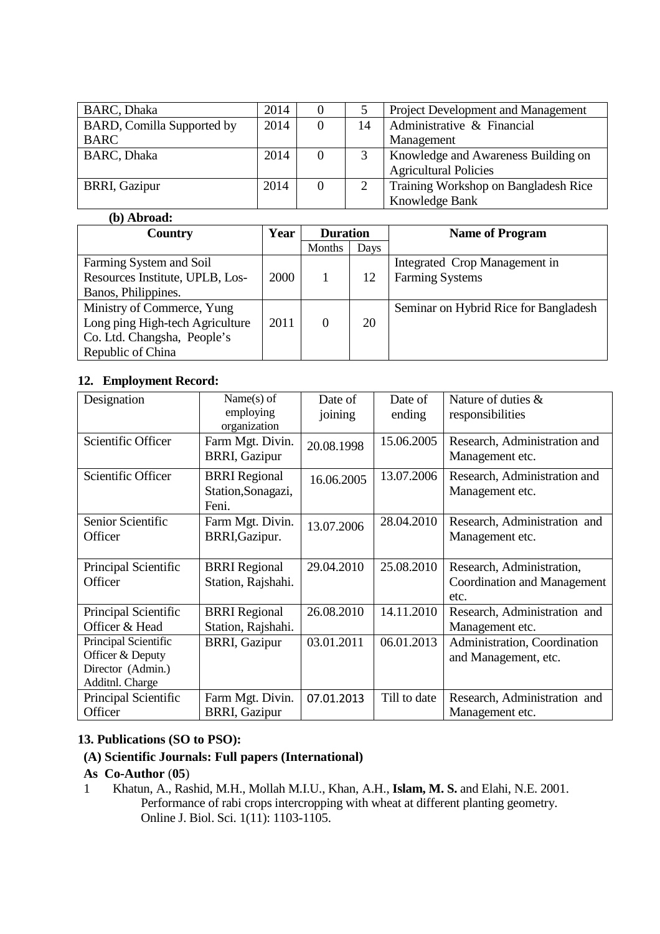| <b>BARC</b> , Dhaka        | 2014 |          |          | Project Development and Management   |
|----------------------------|------|----------|----------|--------------------------------------|
| BARD, Comilla Supported by | 2014 | $\Omega$ | 14       | Administrative & Financial           |
| <b>BARC</b>                |      |          |          | Management                           |
| <b>BARC</b> , Dhaka        | 2014 | $\Omega$ |          | Knowledge and Awareness Building on  |
|                            |      |          |          | <b>Agricultural Policies</b>         |
| <b>BRRI, Gazipur</b>       | 2014 | $\Omega$ | $\gamma$ | Training Workshop on Bangladesh Rice |
|                            |      |          |          | Knowledge Bank                       |

### **(b) Abroad:**

| <b>Country</b>                  | Year | <b>Duration</b> |      | <b>Name of Program</b>                |
|---------------------------------|------|-----------------|------|---------------------------------------|
|                                 |      | Months          | Days |                                       |
| Farming System and Soil         |      |                 |      | Integrated Crop Management in         |
| Resources Institute, UPLB, Los- | 2000 |                 | 12   | <b>Farming Systems</b>                |
| Banos, Philippines.             |      |                 |      |                                       |
| Ministry of Commerce, Yung      |      |                 |      | Seminar on Hybrid Rice for Bangladesh |
| Long ping High-tech Agriculture | 2011 | $\theta$        | 20   |                                       |
| Co. Ltd. Changsha, People's     |      |                 |      |                                       |
| Republic of China               |      |                 |      |                                       |

### **12. Employment Record:**

| Designation          | Name $(s)$ of        | Date of    | Date of      | Nature of duties $\&$        |
|----------------------|----------------------|------------|--------------|------------------------------|
|                      | employing            | joining    | ending       | responsibilities             |
|                      | organization         |            |              |                              |
| Scientific Officer   | Farm Mgt. Divin.     | 20.08.1998 | 15.06.2005   | Research, Administration and |
|                      | <b>BRRI, Gazipur</b> |            |              | Management etc.              |
| Scientific Officer   | <b>BRRI</b> Regional | 16.06.2005 | 13.07.2006   | Research, Administration and |
|                      | Station, Sonagazi,   |            |              | Management etc.              |
|                      | Feni.                |            |              |                              |
| Senior Scientific    | Farm Mgt. Divin.     | 13.07.2006 | 28.04.2010   | Research, Administration and |
| Officer              | BRRI, Gazipur.       |            |              | Management etc.              |
|                      |                      |            |              |                              |
| Principal Scientific | <b>BRRI</b> Regional | 29.04.2010 | 25.08.2010   | Research, Administration,    |
| Officer              | Station, Rajshahi.   |            |              | Coordination and Management  |
|                      |                      |            |              | etc.                         |
| Principal Scientific | <b>BRRI</b> Regional | 26.08.2010 | 14.11.2010   | Research, Administration and |
| Officer & Head       | Station, Rajshahi.   |            |              | Management etc.              |
| Principal Scientific | <b>BRRI, Gazipur</b> | 03.01.2011 | 06.01.2013   | Administration, Coordination |
| Officer & Deputy     |                      |            |              | and Management, etc.         |
| Director (Admin.)    |                      |            |              |                              |
| Additnl. Charge      |                      |            |              |                              |
| Principal Scientific | Farm Mgt. Divin.     | 07.01.2013 | Till to date | Research, Administration and |
| Officer              | <b>BRRI, Gazipur</b> |            |              | Management etc.              |

### **13. Publications (SO to PSO):**

### **(A) Scientific Journals: Full papers (International)**

### **As Co-Author** (**05**)

1 Khatun, A., Rashid, M.H., Mollah M.I.U., Khan, A.H., **Islam, M. S.** and Elahi, N.E. 2001. Performance of rabi crops intercropping with wheat at different planting geometry. Online J. Biol. Sci. 1(11): 1103-1105.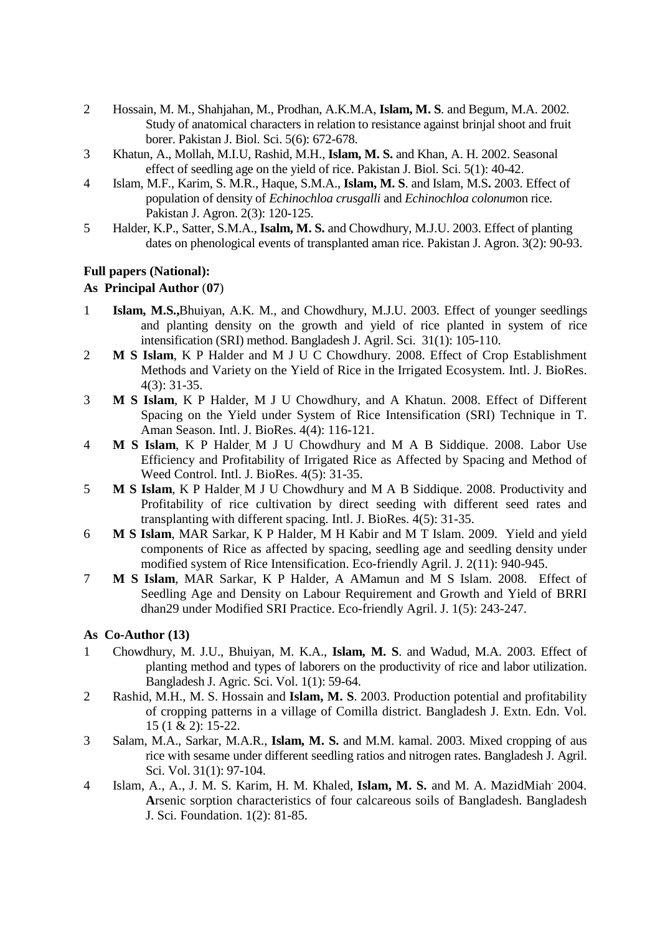- 2 Hossain, M. M., Shahjahan, M., Prodhan, A.K.M.A, **Islam, M. S**. and Begum, M.A. 2002. Study of anatomical characters in relation to resistance against brinjal shoot and fruit borer. Pakistan J. Biol. Sci. 5(6): 672-678.
- 3 Khatun, A., Mollah, M.I.U, Rashid, M.H., **Islam, M. S.** and Khan, A. H. 2002. Seasonal effect of seedling age on the yield of rice. Pakistan J. Biol. Sci. 5(1): 40-42.
- 4 Islam, M.F., Karim, S. M.R., Haque, S.M.A., **Islam, M. S**. and Islam, M.S**.** 2003. Effect of population of density of *Echinochloa crusgalli* and *Echinochloa colonum*on rice*.* Pakistan J. Agron. 2(3): 120-125.
- 5 Halder, K.P., Satter, S.M.A., **Isalm, M. S.** and Chowdhury, M.J.U. 2003. Effect of planting dates on phenological events of transplanted aman rice. Pakistan J. Agron. 3(2): 90-93.

#### **Full papers (National):**

### **As Principal Author** (**07**)

- 1 **Islam, M.S.,**Bhuiyan, A.K. M., and Chowdhury, M.J.U. 2003. Effect of younger seedlings and planting density on the growth and yield of rice planted in system of rice intensification (SRI) method. Bangladesh J. Agril. Sci. 31(1): 105-110.
- 2 **M S Islam**, K P Halder and M J U C Chowdhury. 2008. Effect of Crop Establishment Methods and Variety on the Yield of Rice in the Irrigated Ecosystem. Intl. J. BioRes. 4(3): 31-35.
- 3 **M S Islam**, K P Halder, M J U Chowdhury, and A Khatun. 2008. Effect of Different Spacing on the Yield under System of Rice Intensification (SRI) Technique in T. Aman Season. Intl. J. BioRes. 4(4): 116-121.
- 4 **M S Islam**, K P Halder, M J U Chowdhury and M A B Siddique. 2008. Labor Use Efficiency and Profitability of Irrigated Rice as Affected by Spacing and Method of Weed Control. Intl. J. BioRes. 4(5): 31-35.
- 5 **M S Islam**, K P Halder, M J U Chowdhury and M A B Siddique. 2008. Productivity and Profitability of rice cultivation by direct seeding with different seed rates and transplanting with different spacing. Intl. J. BioRes. 4(5): 31-35.
- 6 **M S Islam**, MAR Sarkar, K P Halder, M H Kabir and M T Islam. 2009. Yield and yield components of Rice as affected by spacing, seedling age and seedling density under modified system of Rice Intensification. Eco-friendly Agril. J. 2(11): 940-945.
- 7 **M S Islam**, MAR Sarkar, K P Halder, A AMamun and M S Islam. 2008. Effect of Seedling Age and Density on Labour Requirement and Growth and Yield of BRRI dhan29 under Modified SRI Practice. Eco-friendly Agril. J. 1(5): 243-247.

#### **As Co-Author (13)**

- 1 Chowdhury, M. J.U., Bhuiyan, M. K.A., **Islam, M. S**. and Wadud, M.A. 2003. Effect of planting method and types of laborers on the productivity of rice and labor utilization. Bangladesh J. Agric. Sci. Vol. 1(1): 59-64.
- 2 Rashid, M.H., M. S. Hossain and **Islam, M. S**. 2003. Production potential and profitability of cropping patterns in a village of Comilla district. Bangladesh J. Extn. Edn. Vol. 15 (1 & 2): 15-22.
- 3 Salam, M.A., Sarkar, M.A.R., **Islam, M. S.** and M.M. kamal. 2003. Mixed cropping of aus rice with sesame under different seedling ratios and nitrogen rates. Bangladesh J. Agril. Sci. Vol. 31(1): 97-104.
- 4 Islam, A., A., J. M. S. Karim, H. M. Khaled, **Islam, M. S.** and M. A. MazidMiah. 2004. **A**rsenic sorption characteristics of four calcareous soils of Bangladesh. Bangladesh J. Sci. Foundation. 1(2): 81-85.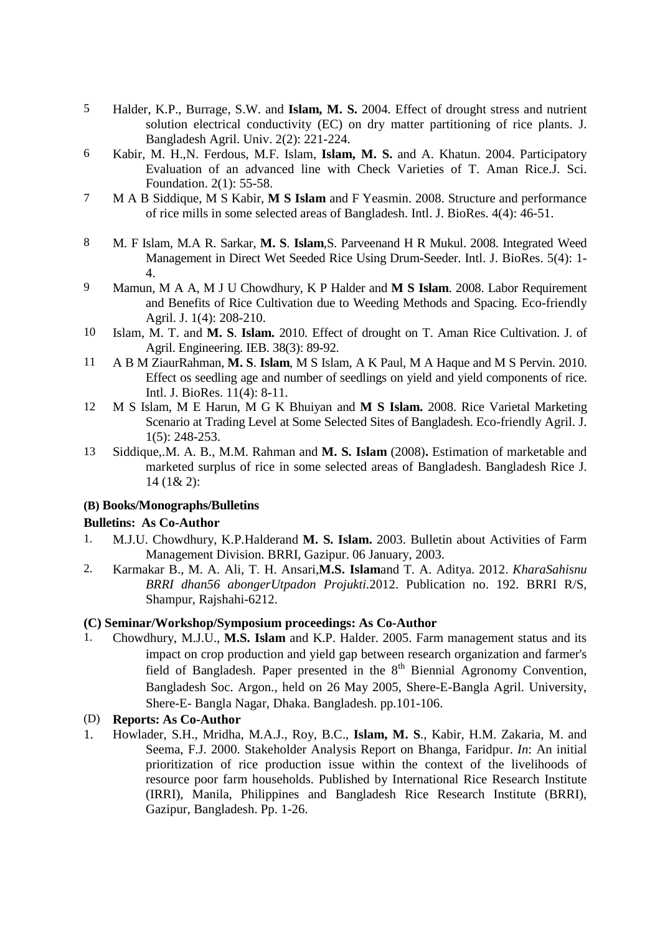- 5 Halder, K.P., Burrage, S.W. and **Islam, M. S.** 2004. Effect of drought stress and nutrient solution electrical conductivity (EC) on dry matter partitioning of rice plants. J. Bangladesh Agril. Univ. 2(2): 221-224.
- 6 Kabir, M. H.,N. Ferdous, M.F. Islam, **Islam, M. S.** and A. Khatun. 2004. Participatory Evaluation of an advanced line with Check Varieties of T. Aman Rice.J. Sci. Foundation. 2(1): 55-58.
- 7 M A B Siddique, M S Kabir, **M S Islam** and F Yeasmin. 2008. Structure and performance of rice mills in some selected areas of Bangladesh. Intl. J. BioRes. 4(4): 46-51.
- 8 M. F Islam, M.A R. Sarkar, **M. S**. **Islam**,S. Parveenand H R Mukul. 2008. Integrated Weed Management in Direct Wet Seeded Rice Using Drum-Seeder. Intl. J. BioRes. 5(4): 1- 4.
- 9 Mamun, M A A, M J U Chowdhury, K P Halder and **M S Islam**. 2008. Labor Requirement and Benefits of Rice Cultivation due to Weeding Methods and Spacing. Eco-friendly Agril. J. 1(4): 208-210.
- 10 Islam, M. T. and **M. S**. **Islam.** 2010. Effect of drought on T. Aman Rice Cultivation. J. of Agril. Engineering. IEB. 38(3): 89-92.
- 11 A B M ZiaurRahman, **M. S**. **Islam**, M S Islam, A K Paul, M A Haque and M S Pervin. 2010. Effect os seedling age and number of seedlings on yield and yield components of rice. Intl. J. BioRes. 11(4): 8-11.
- 12 M S Islam, M E Harun, M G K Bhuiyan and **M S Islam.** 2008. Rice Varietal Marketing Scenario at Trading Level at Some Selected Sites of Bangladesh. Eco-friendly Agril. J. 1(5): 248-253.
- 13 Siddique,.M. A. B., M.M. Rahman and **M. S. Islam** (2008)**.** Estimation of marketable and marketed surplus of rice in some selected areas of Bangladesh. Bangladesh Rice J. 14 (1& 2):

#### **(B) Books/Monographs/Bulletins**

### **Bulletins: As Co-Author**

- 1. M.J.U. Chowdhury, K.P.Halderand **M. S. Islam.** 2003. Bulletin about Activities of Farm Management Division. BRRI, Gazipur. 06 January, 2003.
- 2. Karmakar B., M. A. Ali, T. H. Ansari,**M.S. Islam**and T. A. Aditya. 2012. *KharaSahisnu BRRI dhan56 abongerUtpadon Projukti.*2012. Publication no. 192. BRRI R/S, Shampur, Rajshahi-6212.

#### **(C) Seminar/Workshop/Symposium proceedings: As Co-Author**

1. Chowdhury, M.J.U., **M.S. Islam** and K.P. Halder. 2005. Farm management status and its impact on crop production and yield gap between research organization and farmer's field of Bangladesh. Paper presented in the  $8<sup>th</sup>$  Biennial Agronomy Convention, Bangladesh Soc. Argon., held on 26 May 2005, Shere-E-Bangla Agril. University, Shere-E- Bangla Nagar, Dhaka. Bangladesh. pp.101-106.

#### (D) **Reports: As Co-Author**

1. Howlader, S.H., Mridha, M.A.J., Roy, B.C., **Islam, M. S**., Kabir, H.M. Zakaria, M. and Seema, F.J. 2000. Stakeholder Analysis Report on Bhanga, Faridpur. *In*: An initial prioritization of rice production issue within the context of the livelihoods of resource poor farm households. Published by International Rice Research Institute (IRRI), Manila, Philippines and Bangladesh Rice Research Institute (BRRI), Gazipur, Bangladesh. Pp. 1-26.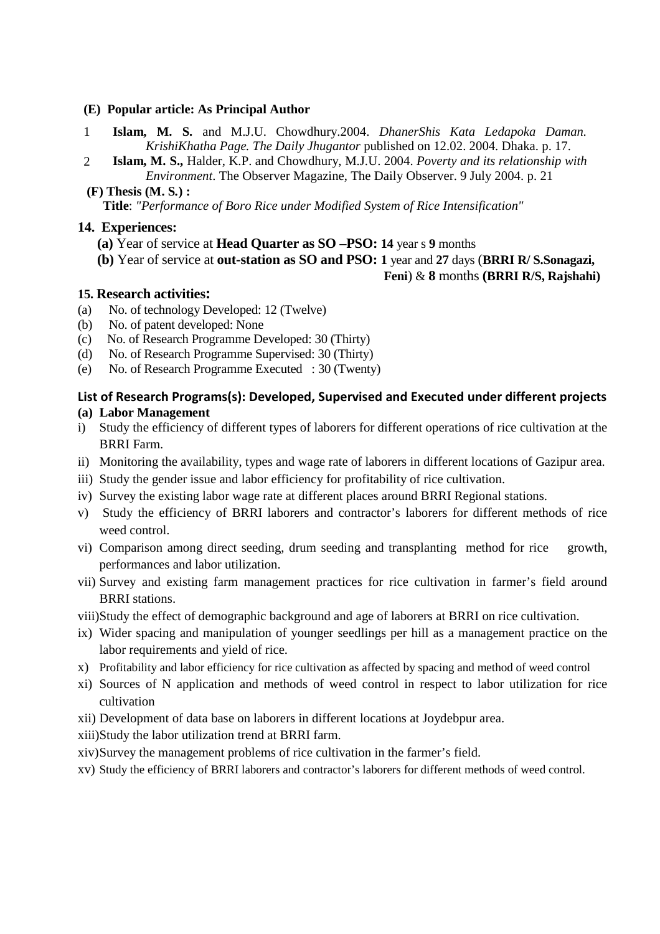#### **(E) Popular article: As Principal Author**

- 1 **Islam, M. S.** and M.J.U. Chowdhury.2004. *DhanerShis Kata Ledapoka Daman. KrishiKhatha Page. The Daily Jhugantor* published on 12.02. 2004. Dhaka. p. 17.
- 2 **Islam, M. S.,** Halder, K.P. and Chowdhury, M.J.U. 2004. *Poverty and its relationship with Environment*. The Observer Magazine, The Daily Observer. 9 July 2004. p. 21

 **(F) Thesis (M. S***.***) :**

 **Title**: *"Performance of Boro Rice under Modified System of Rice Intensification"*

### **14. Experiences:**

- **(a)** Year of service at **Head Quarter as SO –PSO: 14** year s **9** months
- **(b)** Year of service at **out-station as SO and PSO: 1** year and **27** days (**BRRI R/ S.Sonagazi,**

### **Feni**) & **8** months **(BRRI R/S, Rajshahi)**

### **15. Research activities:**

- (a) No. of technology Developed: 12 (Twelve)
- (b) No. of patent developed: None
- (c) No. of Research Programme Developed: 30 (Thirty)
- (d) No. of Research Programme Supervised: 30 (Thirty)
- (e) No. of Research Programme Executed : 30 (Twenty)

#### **List of Research Programs(s): Developed, Supervised and Executed under different projects (a) Labor Management**

- i) Study the efficiency of different types of laborers for different operations of rice cultivation at the BRRI Farm.
- ii) Monitoring the availability, types and wage rate of laborers in different locations of Gazipur area.
- iii) Study the gender issue and labor efficiency for profitability of rice cultivation.
- iv) Survey the existing labor wage rate at different places around BRRI Regional stations.
- v) Study the efficiency of BRRI laborers and contractor's laborers for different methods of rice weed control.
- vi) Comparison among direct seeding, drum seeding and transplanting method for rice growth, performances and labor utilization.
- vii) Survey and existing farm management practices for rice cultivation in farmer's field around BRRI stations.
- viii)Study the effect of demographic background and age of laborers at BRRI on rice cultivation.
- ix) Wider spacing and manipulation of younger seedlings per hill as a management practice on the labor requirements and yield of rice.
- x) Profitability and labor efficiency for rice cultivation as affected by spacing and method of weed control
- xi) Sources of N application and methods of weed control in respect to labor utilization for rice cultivation
- xii) Development of data base on laborers in different locations at Joydebpur area.
- xiii)Study the labor utilization trend at BRRI farm.
- xiv)Survey the management problems of rice cultivation in the farmer's field.
- xv) Study the efficiency of BRRI laborers and contractor's laborers for different methods of weed control.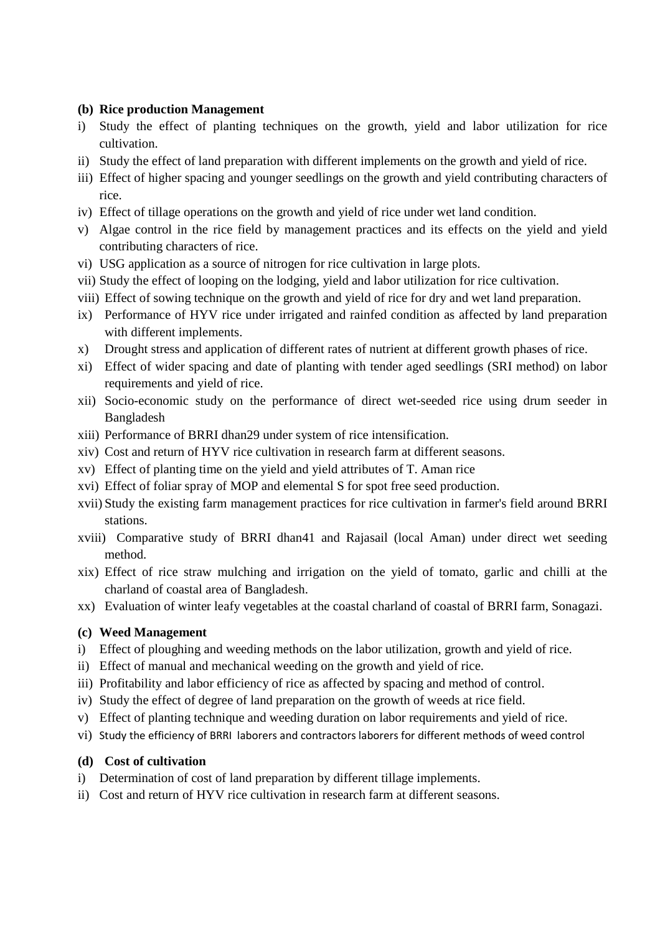### **(b) Rice production Management**

- i) Study the effect of planting techniques on the growth, yield and labor utilization for rice cultivation.
- ii) Study the effect of land preparation with different implements on the growth and yield of rice.
- iii) Effect of higher spacing and younger seedlings on the growth and yield contributing characters of rice.
- iv) Effect of tillage operations on the growth and yield of rice under wet land condition.
- v) Algae control in the rice field by management practices and its effects on the yield and yield contributing characters of rice.
- vi) USG application as a source of nitrogen for rice cultivation in large plots.
- vii) Study the effect of looping on the lodging, yield and labor utilization for rice cultivation.
- viii) Effect of sowing technique on the growth and yield of rice for dry and wet land preparation.
- ix) Performance of HYV rice under irrigated and rainfed condition as affected by land preparation with different implements.
- x) Drought stress and application of different rates of nutrient at different growth phases of rice.
- xi) Effect of wider spacing and date of planting with tender aged seedlings (SRI method) on labor requirements and yield of rice.
- xii) Socio-economic study on the performance of direct wet-seeded rice using drum seeder in Bangladesh
- xiii) Performance of BRRI dhan29 under system of rice intensification.
- xiv) Cost and return of HYV rice cultivation in research farm at different seasons.
- xv) Effect of planting time on the yield and yield attributes of T. Aman rice
- xvi) Effect of foliar spray of MOP and elemental S for spot free seed production.
- xvii) Study the existing farm management practices for rice cultivation in farmer's field around BRRI stations.
- xviii) Comparative study of BRRI dhan41 and Rajasail (local Aman) under direct wet seeding method.
- xix) Effect of rice straw mulching and irrigation on the yield of tomato, garlic and chilli at the charland of coastal area of Bangladesh.
- xx) Evaluation of winter leafy vegetables at the coastal charland of coastal of BRRI farm, Sonagazi.

### **(c) Weed Management**

- i) Effect of ploughing and weeding methods on the labor utilization, growth and yield of rice.
- ii) Effect of manual and mechanical weeding on the growth and yield of rice.
- iii) Profitability and labor efficiency of rice as affected by spacing and method of control.
- iv) Study the effect of degree of land preparation on the growth of weeds at rice field.
- v) Effect of planting technique and weeding duration on labor requirements and yield of rice.
- vi) Study the efficiency of BRRI laborers and contractors laborers for different methods of weed control

### **(d) Cost of cultivation**

- i) Determination of cost of land preparation by different tillage implements.
- ii) Cost and return of HYV rice cultivation in research farm at different seasons.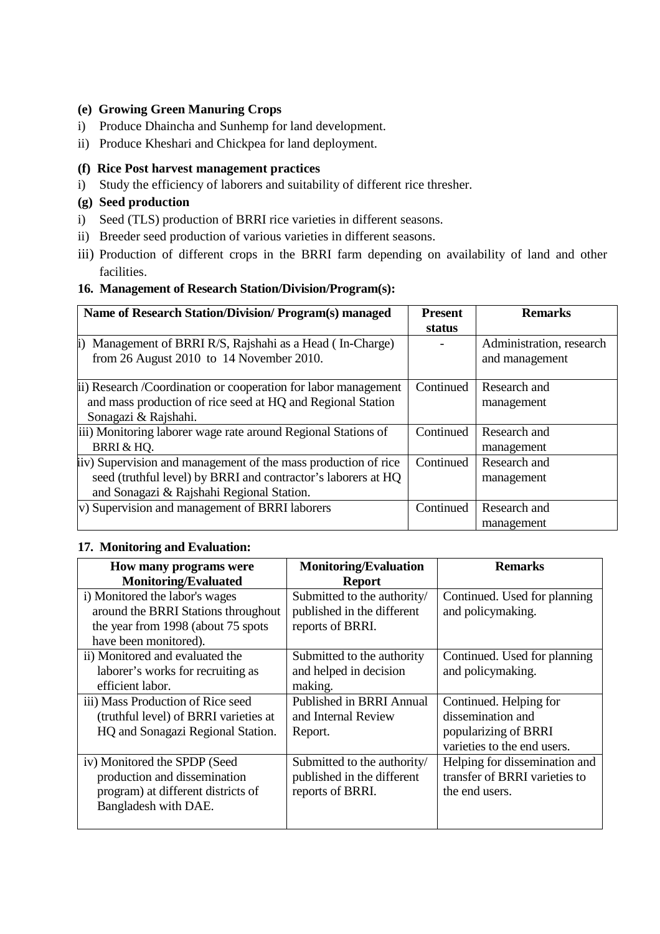### **(e) Growing Green Manuring Crops**

- i) Produce Dhaincha and Sunhemp for land development.
- ii) Produce Kheshari and Chickpea for land deployment.

### **(f) Rice Post harvest management practices**

i) Study the efficiency of laborers and suitability of different rice thresher.

## **(g) Seed production**

- i) Seed (TLS) production of BRRI rice varieties in different seasons.
- ii) Breeder seed production of various varieties in different seasons.
- iii) Production of different crops in the BRRI farm depending on availability of land and other facilities.

### **16. Management of Research Station/Division/Program(s):**

| Name of Research Station/Division/ Program(s) managed                                                                                                                        | <b>Present</b><br>status | <b>Remarks</b>                             |
|------------------------------------------------------------------------------------------------------------------------------------------------------------------------------|--------------------------|--------------------------------------------|
| Management of BRRI R/S, Rajshahi as a Head (In-Charge)<br>from 26 August 2010 to $14$ November 2010.                                                                         |                          | Administration, research<br>and management |
| ii) Research / Coordination or cooperation for labor management<br>and mass production of rice seed at HQ and Regional Station                                               | Continued                | Research and<br>management                 |
| Sonagazi & Rajshahi.<br>iii) Monitoring laborer wage rate around Regional Stations of<br>BRRI & HQ.                                                                          | Continued                | Research and<br>management                 |
| (iv) Supervision and management of the mass production of rice<br>seed (truthful level) by BRRI and contractor's laborers at HQ<br>and Sonagazi & Rajshahi Regional Station. | Continued                | Research and<br>management                 |
| v) Supervision and management of BRRI laborers                                                                                                                               | Continued                | Research and<br>management                 |

### **17. Monitoring and Evaluation:**

| How many programs were                | <b>Monitoring/Evaluation</b>    | <b>Remarks</b>                |
|---------------------------------------|---------------------------------|-------------------------------|
| <b>Monitoring/Evaluated</b>           | <b>Report</b>                   |                               |
| i) Monitored the labor's wages        | Submitted to the authority/     | Continued. Used for planning  |
| around the BRRI Stations throughout   | published in the different      | and policymaking.             |
| the year from 1998 (about 75 spots    | reports of BRRI.                |                               |
| have been monitored).                 |                                 |                               |
| ii) Monitored and evaluated the       | Submitted to the authority      | Continued. Used for planning  |
| laborer's works for recruiting as     | and helped in decision          | and policymaking.             |
| efficient labor.                      | making.                         |                               |
| iii) Mass Production of Rice seed     | <b>Published in BRRI Annual</b> | Continued. Helping for        |
| (truthful level) of BRRI varieties at | and Internal Review             | dissemination and             |
| HQ and Sonagazi Regional Station.     | Report.                         | popularizing of BRRI          |
|                                       |                                 | varieties to the end users.   |
| iv) Monitored the SPDP (Seed          | Submitted to the authority/     | Helping for dissemination and |
| production and dissemination          | published in the different      | transfer of BRRI varieties to |
| program) at different districts of    | reports of BRRI.                | the end users.                |
| Bangladesh with DAE.                  |                                 |                               |
|                                       |                                 |                               |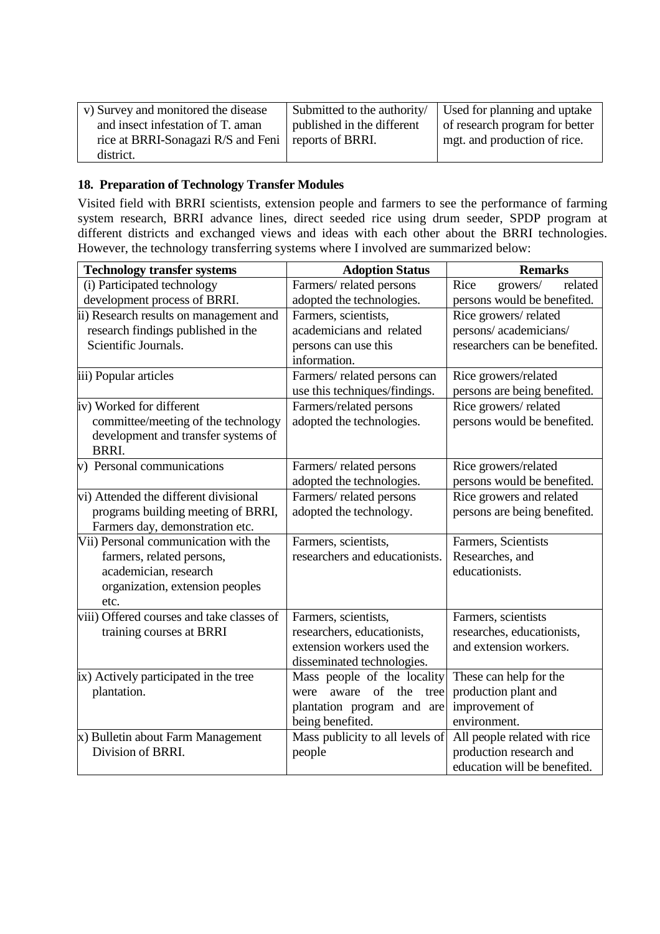| v) Survey and monitored the disease                   |                            | Submitted to the authority $\int$ Used for planning and uptake |
|-------------------------------------------------------|----------------------------|----------------------------------------------------------------|
| and insect infestation of T. aman                     | published in the different | of research program for better                                 |
| rice at BRRI-Sonagazi R/S and Feni   reports of BRRI. |                            | mgt. and production of rice.                                   |
| district.                                             |                            |                                                                |

## **18. Preparation of Technology Transfer Modules**

Visited field with BRRI scientists, extension people and farmers to see the performance of farming system research, BRRI advance lines, direct seeded rice using drum seeder, SPDP program at different districts and exchanged views and ideas with each other about the BRRI technologies. However, the technology transferring systems where I involved are summarized below:

| (i) Participated technology<br>growers/<br>Farmers/related persons<br>Rice<br>development process of BRRI.<br>adopted the technologies.<br>persons would be benefited.<br>ii) Research results on management and<br>Farmers, scientists,<br>Rice growers/related<br>research findings published in the<br>academicians and related<br>persons/academicians/<br>Scientific Journals.<br>researchers can be benefited.<br>persons can use this<br>information.<br>iii) Popular articles<br>Farmers/related persons can<br>Rice growers/related<br>use this techniques/findings.<br>persons are being benefited.<br>Rice growers/ related<br>iv) Worked for different<br>Farmers/related persons<br>committee/meeting of the technology<br>adopted the technologies.<br>persons would be benefited.<br>development and transfer systems of<br>BRRI.<br>v) Personal communications<br>Rice growers/related<br>Farmers/related persons<br>adopted the technologies.<br>persons would be benefited.<br>vi) Attended the different divisional<br>Farmers/related persons<br>Rice growers and related<br>adopted the technology.<br>persons are being benefited.<br>programs building meeting of BRRI,<br>Farmers day, demonstration etc.<br>Vii) Personal communication with the<br>Farmers, scientists,<br>Farmers, Scientists | <b>Technology transfer systems</b> | <b>Adoption Status</b>         | <b>Remarks</b>  |
|--------------------------------------------------------------------------------------------------------------------------------------------------------------------------------------------------------------------------------------------------------------------------------------------------------------------------------------------------------------------------------------------------------------------------------------------------------------------------------------------------------------------------------------------------------------------------------------------------------------------------------------------------------------------------------------------------------------------------------------------------------------------------------------------------------------------------------------------------------------------------------------------------------------------------------------------------------------------------------------------------------------------------------------------------------------------------------------------------------------------------------------------------------------------------------------------------------------------------------------------------------------------------------------------------------------------------|------------------------------------|--------------------------------|-----------------|
|                                                                                                                                                                                                                                                                                                                                                                                                                                                                                                                                                                                                                                                                                                                                                                                                                                                                                                                                                                                                                                                                                                                                                                                                                                                                                                                          |                                    |                                | related         |
|                                                                                                                                                                                                                                                                                                                                                                                                                                                                                                                                                                                                                                                                                                                                                                                                                                                                                                                                                                                                                                                                                                                                                                                                                                                                                                                          |                                    |                                |                 |
|                                                                                                                                                                                                                                                                                                                                                                                                                                                                                                                                                                                                                                                                                                                                                                                                                                                                                                                                                                                                                                                                                                                                                                                                                                                                                                                          |                                    |                                |                 |
|                                                                                                                                                                                                                                                                                                                                                                                                                                                                                                                                                                                                                                                                                                                                                                                                                                                                                                                                                                                                                                                                                                                                                                                                                                                                                                                          |                                    |                                |                 |
|                                                                                                                                                                                                                                                                                                                                                                                                                                                                                                                                                                                                                                                                                                                                                                                                                                                                                                                                                                                                                                                                                                                                                                                                                                                                                                                          |                                    |                                |                 |
|                                                                                                                                                                                                                                                                                                                                                                                                                                                                                                                                                                                                                                                                                                                                                                                                                                                                                                                                                                                                                                                                                                                                                                                                                                                                                                                          |                                    |                                |                 |
|                                                                                                                                                                                                                                                                                                                                                                                                                                                                                                                                                                                                                                                                                                                                                                                                                                                                                                                                                                                                                                                                                                                                                                                                                                                                                                                          |                                    |                                |                 |
|                                                                                                                                                                                                                                                                                                                                                                                                                                                                                                                                                                                                                                                                                                                                                                                                                                                                                                                                                                                                                                                                                                                                                                                                                                                                                                                          |                                    |                                |                 |
|                                                                                                                                                                                                                                                                                                                                                                                                                                                                                                                                                                                                                                                                                                                                                                                                                                                                                                                                                                                                                                                                                                                                                                                                                                                                                                                          |                                    |                                |                 |
|                                                                                                                                                                                                                                                                                                                                                                                                                                                                                                                                                                                                                                                                                                                                                                                                                                                                                                                                                                                                                                                                                                                                                                                                                                                                                                                          |                                    |                                |                 |
|                                                                                                                                                                                                                                                                                                                                                                                                                                                                                                                                                                                                                                                                                                                                                                                                                                                                                                                                                                                                                                                                                                                                                                                                                                                                                                                          |                                    |                                |                 |
|                                                                                                                                                                                                                                                                                                                                                                                                                                                                                                                                                                                                                                                                                                                                                                                                                                                                                                                                                                                                                                                                                                                                                                                                                                                                                                                          |                                    |                                |                 |
|                                                                                                                                                                                                                                                                                                                                                                                                                                                                                                                                                                                                                                                                                                                                                                                                                                                                                                                                                                                                                                                                                                                                                                                                                                                                                                                          |                                    |                                |                 |
|                                                                                                                                                                                                                                                                                                                                                                                                                                                                                                                                                                                                                                                                                                                                                                                                                                                                                                                                                                                                                                                                                                                                                                                                                                                                                                                          |                                    |                                |                 |
|                                                                                                                                                                                                                                                                                                                                                                                                                                                                                                                                                                                                                                                                                                                                                                                                                                                                                                                                                                                                                                                                                                                                                                                                                                                                                                                          |                                    |                                |                 |
|                                                                                                                                                                                                                                                                                                                                                                                                                                                                                                                                                                                                                                                                                                                                                                                                                                                                                                                                                                                                                                                                                                                                                                                                                                                                                                                          |                                    |                                |                 |
|                                                                                                                                                                                                                                                                                                                                                                                                                                                                                                                                                                                                                                                                                                                                                                                                                                                                                                                                                                                                                                                                                                                                                                                                                                                                                                                          |                                    |                                |                 |
|                                                                                                                                                                                                                                                                                                                                                                                                                                                                                                                                                                                                                                                                                                                                                                                                                                                                                                                                                                                                                                                                                                                                                                                                                                                                                                                          |                                    |                                |                 |
|                                                                                                                                                                                                                                                                                                                                                                                                                                                                                                                                                                                                                                                                                                                                                                                                                                                                                                                                                                                                                                                                                                                                                                                                                                                                                                                          | farmers, related persons,          | researchers and educationists. | Researches, and |
| educationists.<br>academician, research                                                                                                                                                                                                                                                                                                                                                                                                                                                                                                                                                                                                                                                                                                                                                                                                                                                                                                                                                                                                                                                                                                                                                                                                                                                                                  |                                    |                                |                 |
| organization, extension peoples                                                                                                                                                                                                                                                                                                                                                                                                                                                                                                                                                                                                                                                                                                                                                                                                                                                                                                                                                                                                                                                                                                                                                                                                                                                                                          |                                    |                                |                 |
| etc.                                                                                                                                                                                                                                                                                                                                                                                                                                                                                                                                                                                                                                                                                                                                                                                                                                                                                                                                                                                                                                                                                                                                                                                                                                                                                                                     |                                    |                                |                 |
| viii) Offered courses and take classes of<br>Farmers, scientists<br>Farmers, scientists,                                                                                                                                                                                                                                                                                                                                                                                                                                                                                                                                                                                                                                                                                                                                                                                                                                                                                                                                                                                                                                                                                                                                                                                                                                 |                                    |                                |                 |
| researches, educationists,<br>training courses at BRRI<br>researchers, educationists,                                                                                                                                                                                                                                                                                                                                                                                                                                                                                                                                                                                                                                                                                                                                                                                                                                                                                                                                                                                                                                                                                                                                                                                                                                    |                                    |                                |                 |
| extension workers used the<br>and extension workers.                                                                                                                                                                                                                                                                                                                                                                                                                                                                                                                                                                                                                                                                                                                                                                                                                                                                                                                                                                                                                                                                                                                                                                                                                                                                     |                                    |                                |                 |
| disseminated technologies.                                                                                                                                                                                                                                                                                                                                                                                                                                                                                                                                                                                                                                                                                                                                                                                                                                                                                                                                                                                                                                                                                                                                                                                                                                                                                               |                                    |                                |                 |
| Mass people of the locality<br>ix) Actively participated in the tree<br>These can help for the<br>aware of the                                                                                                                                                                                                                                                                                                                                                                                                                                                                                                                                                                                                                                                                                                                                                                                                                                                                                                                                                                                                                                                                                                                                                                                                           |                                    |                                |                 |
| plantation.<br>production plant and<br>were<br>tree<br>improvement of                                                                                                                                                                                                                                                                                                                                                                                                                                                                                                                                                                                                                                                                                                                                                                                                                                                                                                                                                                                                                                                                                                                                                                                                                                                    |                                    |                                |                 |
| plantation program and are<br>being benefited.<br>environment.                                                                                                                                                                                                                                                                                                                                                                                                                                                                                                                                                                                                                                                                                                                                                                                                                                                                                                                                                                                                                                                                                                                                                                                                                                                           |                                    |                                |                 |
| x) Bulletin about Farm Management<br>Mass publicity to all levels of<br>All people related with rice                                                                                                                                                                                                                                                                                                                                                                                                                                                                                                                                                                                                                                                                                                                                                                                                                                                                                                                                                                                                                                                                                                                                                                                                                     |                                    |                                |                 |
| Division of BRRI.<br>production research and<br>people                                                                                                                                                                                                                                                                                                                                                                                                                                                                                                                                                                                                                                                                                                                                                                                                                                                                                                                                                                                                                                                                                                                                                                                                                                                                   |                                    |                                |                 |
| education will be benefited.                                                                                                                                                                                                                                                                                                                                                                                                                                                                                                                                                                                                                                                                                                                                                                                                                                                                                                                                                                                                                                                                                                                                                                                                                                                                                             |                                    |                                |                 |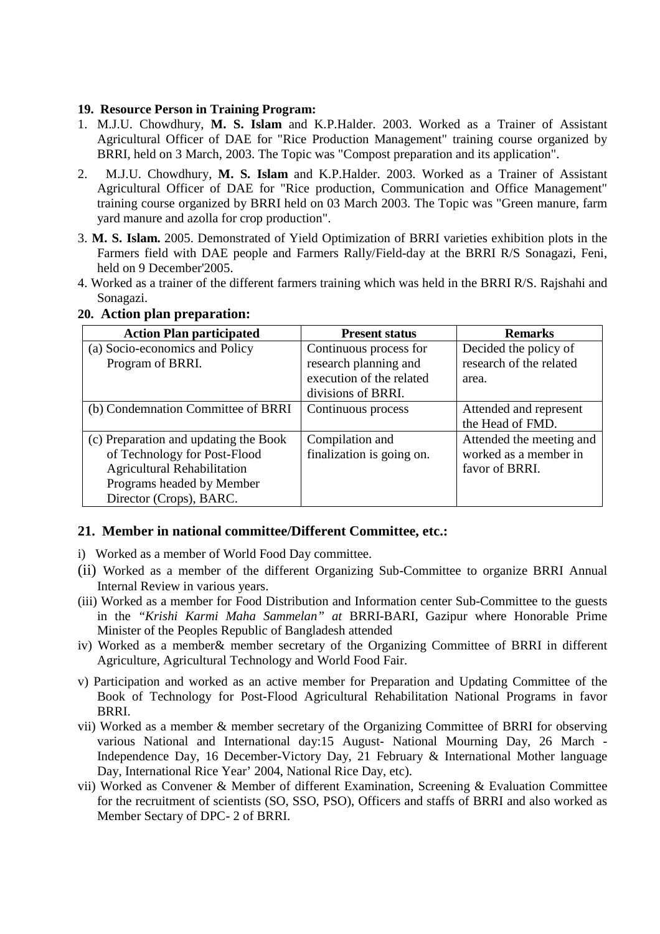#### **19. Resource Person in Training Program:**

- 1. M.J.U. Chowdhury, **M. S. Islam** and K.P.Halder. 2003. Worked as a Trainer of Assistant Agricultural Officer of DAE for "Rice Production Management" training course organized by BRRI, held on 3 March, 2003. The Topic was "Compost preparation and its application".
- 2. M.J.U. Chowdhury, **M. S. Islam** and K.P.Halder. 2003. Worked as a Trainer of Assistant Agricultural Officer of DAE for "Rice production, Communication and Office Management" training course organized by BRRI held on 03 March 2003. The Topic was "Green manure, farm yard manure and azolla for crop production".
- 3. **M. S. Islam.** 2005. Demonstrated of Yield Optimization of BRRI varieties exhibition plots in the Farmers field with DAE people and Farmers Rally/Field-day at the BRRI R/S Sonagazi, Feni, held on 9 December'2005.
- 4. Worked as a trainer of the different farmers training which was held in the BRRI R/S. Rajshahi and Sonagazi.

| <b>Action Plan participated</b>       | <b>Present status</b>     | <b>Remarks</b>           |
|---------------------------------------|---------------------------|--------------------------|
| (a) Socio-economics and Policy        | Continuous process for    | Decided the policy of    |
| Program of BRRI.                      | research planning and     | research of the related  |
|                                       | execution of the related  | area.                    |
|                                       | divisions of BRRI.        |                          |
| (b) Condemnation Committee of BRRI    | Continuous process        | Attended and represent   |
|                                       |                           | the Head of FMD.         |
| (c) Preparation and updating the Book | Compilation and           | Attended the meeting and |
| of Technology for Post-Flood          | finalization is going on. | worked as a member in    |
| <b>Agricultural Rehabilitation</b>    |                           | favor of BRRI.           |
| Programs headed by Member             |                           |                          |
| Director (Crops), BARC.               |                           |                          |

### **20. Action plan preparation:**

### **21. Member in national committee/Different Committee, etc.:**

- i) Worked as a member of World Food Day committee.
- (ii) Worked as a member of the different Organizing Sub-Committee to organize BRRI Annual Internal Review in various years.
- (iii) Worked as a member for Food Distribution and Information center Sub-Committee to the guests in the *"Krishi Karmi Maha Sammelan" at* BRRI-BARI*,* Gazipur where Honorable Prime Minister of the Peoples Republic of Bangladesh attended
- iv) Worked as a member& member secretary of the Organizing Committee of BRRI in different Agriculture, Agricultural Technology and World Food Fair.
- v) Participation and worked as an active member for Preparation and Updating Committee of the Book of Technology for Post-Flood Agricultural Rehabilitation National Programs in favor BRRI.
- vii) Worked as a member & member secretary of the Organizing Committee of BRRI for observing various National and International day:15 August- National Mourning Day, 26 March - Independence Day, 16 December-Victory Day, 21 February & International Mother language Day, International Rice Year' 2004, National Rice Day, etc).
- vii) Worked as Convener & Member of different Examination, Screening & Evaluation Committee for the recruitment of scientists (SO, SSO, PSO), Officers and staffs of BRRI and also worked as Member Sectary of DPC- 2 of BRRI.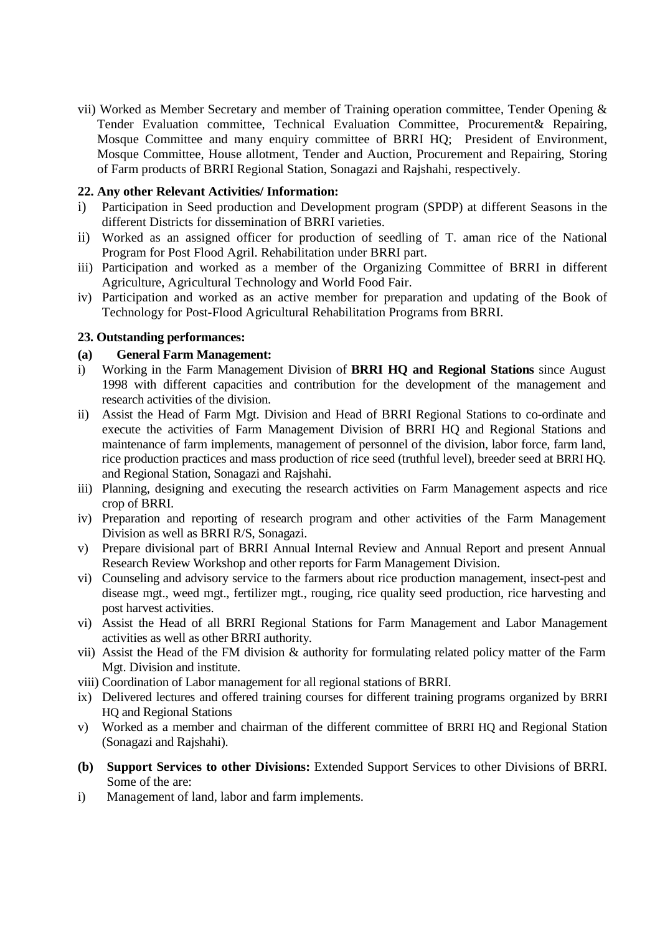vii) Worked as Member Secretary and member of Training operation committee, Tender Opening & Tender Evaluation committee, Technical Evaluation Committee, Procurement& Repairing, Mosque Committee and many enquiry committee of BRRI HQ; President of Environment, Mosque Committee, House allotment, Tender and Auction, Procurement and Repairing, Storing of Farm products of BRRI Regional Station, Sonagazi and Rajshahi, respectively.

### **22. Any other Relevant Activities/ Information:**

- i) Participation in Seed production and Development program (SPDP) at different Seasons in the different Districts for dissemination of BRRI varieties.
- ii) Worked as an assigned officer for production of seedling of T. aman rice of the National Program for Post Flood Agril. Rehabilitation under BRRI part.
- iii) Participation and worked as a member of the Organizing Committee of BRRI in different Agriculture, Agricultural Technology and World Food Fair.
- iv) Participation and worked as an active member for preparation and updating of the Book of Technology for Post-Flood Agricultural Rehabilitation Programs from BRRI.

### **23. Outstanding performances:**

#### **(a) General Farm Management:**

- i) Working in the Farm Management Division of **BRRI HQ and Regional Stations** since August 1998 with different capacities and contribution for the development of the management and research activities of the division.
- ii) Assist the Head of Farm Mgt. Division and Head of BRRI Regional Stations to co-ordinate and execute the activities of Farm Management Division of BRRI HQ and Regional Stations and maintenance of farm implements, management of personnel of the division, labor force, farm land, rice production practices and mass production of rice seed (truthful level), breeder seed at BRRI HQ. and Regional Station, Sonagazi and Rajshahi.
- iii) Planning, designing and executing the research activities on Farm Management aspects and rice crop of BRRI.
- iv) Preparation and reporting of research program and other activities of the Farm Management Division as well as BRRI R/S, Sonagazi.
- v) Prepare divisional part of BRRI Annual Internal Review and Annual Report and present Annual Research Review Workshop and other reports for Farm Management Division.
- vi) Counseling and advisory service to the farmers about rice production management, insect-pest and disease mgt., weed mgt., fertilizer mgt., rouging, rice quality seed production, rice harvesting and post harvest activities.
- vi) Assist the Head of all BRRI Regional Stations for Farm Management and Labor Management activities as well as other BRRI authority.
- vii) Assist the Head of the FM division & authority for formulating related policy matter of the Farm Mgt. Division and institute.
- viii) Coordination of Labor management for all regional stations of BRRI.
- ix) Delivered lectures and offered training courses for different training programs organized by BRRI HQ and Regional Stations
- v) Worked as a member and chairman of the different committee of BRRI HQ and Regional Station (Sonagazi and Rajshahi).
- **(b) Support Services to other Divisions:** Extended Support Services to other Divisions of BRRI. Some of the are:
- i) Management of land, labor and farm implements.